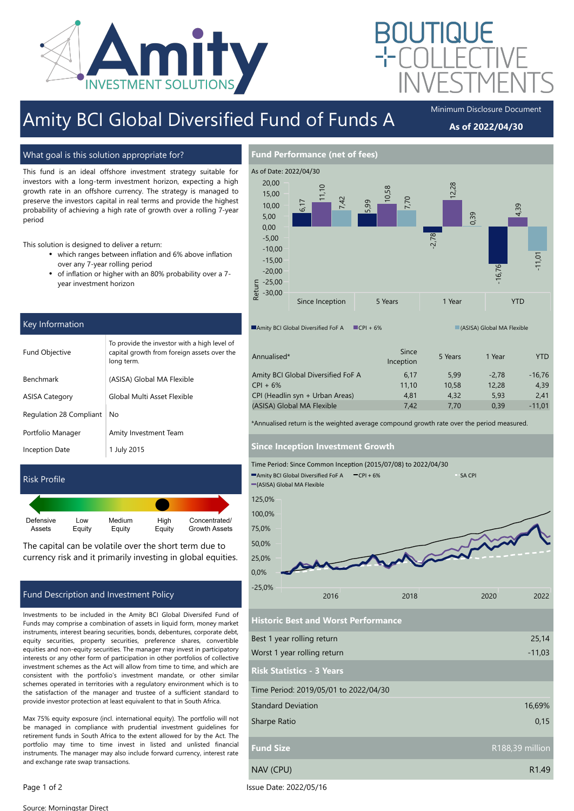

# Amity BCI Global Diversified Fund of Funds A Minimum Disclosure Document

## As of 2022/04/30

What goal is this solution appropriate for?

This fund is an ideal offshore investment strategy suitable for investors with a long-term investment horizon, expecting a high growth rate in an offshore currency. The strategy is managed to preserve the investors capital in real terms and provide the highest probability of achieving a high rate of growth over a rolling 7-year period

This solution is designed to deliver a return:

- which ranges between inflation and 6% above inflation over any 7-year rolling period
- of inflation or higher with an 80% probability over a 7 year investment horizon

| Key Information         |                                                                                                           |  |  |
|-------------------------|-----------------------------------------------------------------------------------------------------------|--|--|
| <b>Fund Objective</b>   | To provide the investor with a high level of<br>capital growth from foreign assets over the<br>long term. |  |  |
| <b>Benchmark</b>        | (ASISA) Global MA Flexible                                                                                |  |  |
| <b>ASISA Category</b>   | Global Multi Asset Flexible                                                                               |  |  |
| Regulation 28 Compliant | No                                                                                                        |  |  |
| Portfolio Manager       | Amity Investment Team                                                                                     |  |  |
| Inception Date          | 1 July 2015                                                                                               |  |  |
|                         |                                                                                                           |  |  |

## Risk Profile

| Equity | Equity | Equity | Concentrated/<br><b>Growth Assets</b> |
|--------|--------|--------|---------------------------------------|
|        | Low    | Medium | High                                  |

The capital can be volatile over the short term due to currency risk and it primarily investing in global equities.

## Fund Description and Investment Policy

Investments to be included in the Amity BCI Global Diversifed Fund of Funds may comprise a combination of assets in liquid form, money market instruments, interest bearing securities, bonds, debentures, corporate debt, equity securities, property securities, preference shares, convertible equities and non-equity securities. The manager may invest in participatory interests or any other form of participation in other portfolios of collective investment schemes as the Act will allow from time to time, and which are consistent with the portfolio's investment mandate, or other similar schemes operated in territories with a regulatory environment which is to the satisfaction of the manager and trustee of a sufficient standard to provide investor protection at least equivalent to that in South Africa.

Max 75% equity exposure (incl. international equity). The portfolio will not be managed in compliance with prudential investment guidelines for retirement funds in South Africa to the extent allowed for by the Act. The portfolio may time to time invest in listed and unlisted financial instruments. The manager may also include forward currency, interest rate and exchange rate swap transactions.



| Annualised*                        | Since<br>Inception | 5 Years | 1 Year  | YTD.     |
|------------------------------------|--------------------|---------|---------|----------|
| Amity BCI Global Diversified FoF A | 6.17               | 5.99    | $-2.78$ | $-16.76$ |
| $CPI + 6%$                         | 11.10              | 10.58   | 12.28   | 4.39     |
| CPI (Headlin syn + Urban Areas)    | 4.81               | 4.32    | 5.93    | 2.41     |
| (ASISA) Global MA Flexible         | 7.42               | 7.70    | 0.39    | $-11.01$ |

\*Annualised return is the weighted average compound growth rate over the period measured.

### Since Inception Investment Growth



Historic Best and Worst Performance

| Best 1 year rolling return            | 25,14             |
|---------------------------------------|-------------------|
| Worst 1 year rolling return           | $-11,03$          |
| <b>Risk Statistics - 3 Years</b>      |                   |
| Time Period: 2019/05/01 to 2022/04/30 |                   |
| <b>Standard Deviation</b>             | 16,69%            |
| Sharpe Ratio                          | 0,15              |
| <b>Fund Size</b>                      | R188,39 million   |
| NAV (CPU)                             | R <sub>1.49</sub> |

Page 1 of 2 Issue Date: 2022/05/16

Source: Morningstar Direct